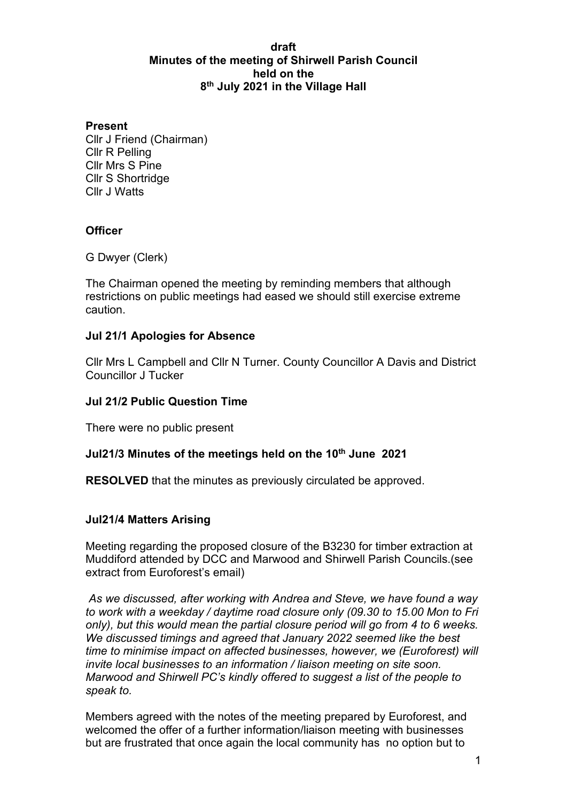#### **draft Minutes of the meeting of Shirwell Parish Council held on the 8th July 2021 in the Village Hall**

#### **Present**

Cllr J Friend (Chairman) Cllr R Pelling Cllr Mrs S Pine Cllr S Shortridge Cllr J Watts

## **Officer**

G Dwyer (Clerk)

The Chairman opened the meeting by reminding members that although restrictions on public meetings had eased we should still exercise extreme caution.

#### **Jul 21/1 Apologies for Absence**

Cllr Mrs L Campbell and Cllr N Turner. County Councillor A Davis and District Councillor J Tucker

#### **Jul 21/2 Public Question Time**

There were no public present

#### **Jul21/3 Minutes of the meetings held on the 10th June 2021**

**RESOLVED** that the minutes as previously circulated be approved.

#### **Jul21/4 Matters Arising**

Meeting regarding the proposed closure of the B3230 for timber extraction at Muddiford attended by DCC and Marwood and Shirwell Parish Councils.(see extract from Euroforest's email)

*As we discussed, after working with Andrea and Steve, we have found a way to work with a weekday / daytime road closure only (09.30 to 15.00 Mon to Fri only), but this would mean the partial closure period will go from 4 to 6 weeks. We discussed timings and agreed that January 2022 seemed like the best time to minimise impact on affected businesses, however, we (Euroforest) will invite local businesses to an information / liaison meeting on site soon. Marwood and Shirwell PC's kindly offered to suggest a list of the people to speak to.*

Members agreed with the notes of the meeting prepared by Euroforest, and welcomed the offer of a further information/liaison meeting with businesses but are frustrated that once again the local community has no option but to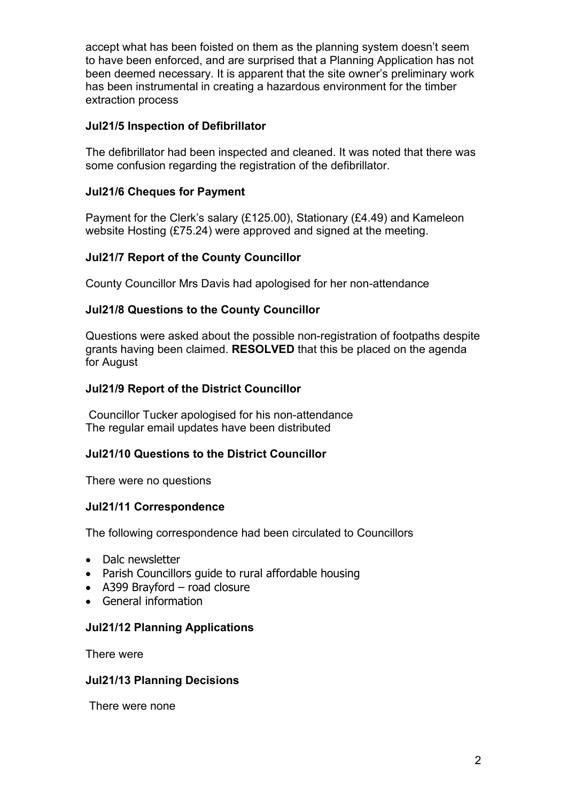accept what has been foisted on them as the planning system doesn't seem to have been enforced, and are surprised that a Planning Application has not been deemed necessary. It is apparent that the site owner's preliminary work has been instrumental in creating a hazardous environment for the timber extraction process

## **Jul21/5 Inspection of Defibrillator**

The defibrillator had been inspected and cleaned. It was noted that there was some confusion regarding the registration of the defibrillator.

## **Jul21/6 Cheques for Payment**

Payment for the Clerk's salary (£125.00), Stationary (£4.49) and Kameleon website Hosting (£75.24) were approved and signed at the meeting.

## **Jul21/7 Report of the County Councillor**

County Councillor Mrs Davis had apologised for her non-attendance

#### **Jul21/8 Questions to the County Councillor**

Questions were asked about the possible non-registration of footpaths despite grants having been claimed. **RESOLVED** that this be placed on the agenda for August

#### **Jul21/9 Report of the District Councillor**

Councillor Tucker apologised for his non-attendance The regular email updates have been distributed

#### **Jul21/10 Questions to the District Councillor**

There were no questions

#### **Jul21/11 Correspondence**

The following correspondence had been circulated to Councillors

- Dalc newsletter
- Parish Councillors guide to rural affordable housing
- A399 Brayford road closure
- General information

#### **Jul21/12 Planning Applications**

There were

#### **Jul21/13 Planning Decisions**

There were none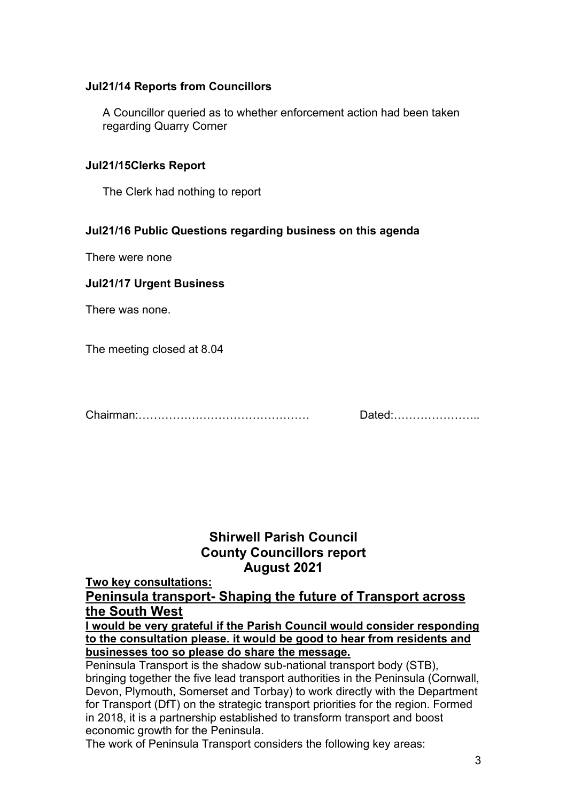## **Jul21/14 Reports from Councillors**

A Councillor queried as to whether enforcement action had been taken regarding Quarry Corner

#### **Jul21/15Clerks Report**

The Clerk had nothing to report

## **Jul21/16 Public Questions regarding business on this agenda**

There were none

## **Jul21/17 Urgent Business**

There was none.

The meeting closed at 8.04

Chairman:……………………………………… Dated:…………………..

# **Shirwell Parish Council County Councillors report August 2021**

**Two key consultations:**

**Peninsula transport- Shaping the future of Transport across the South West**

**I would be very grateful if the Parish Council would consider responding to the consultation please. it would be good to hear from residents and businesses too so please do share the message.**

Peninsula Transport is the shadow sub-national transport body (STB), bringing together the five lead transport authorities in the Peninsula (Cornwall, Devon, Plymouth, Somerset and Torbay) to work directly with the Department for Transport (DfT) on the strategic transport priorities for the region. Formed in 2018, it is a partnership established to transform transport and boost economic growth for the Peninsula.

The work of Peninsula Transport considers the following key areas: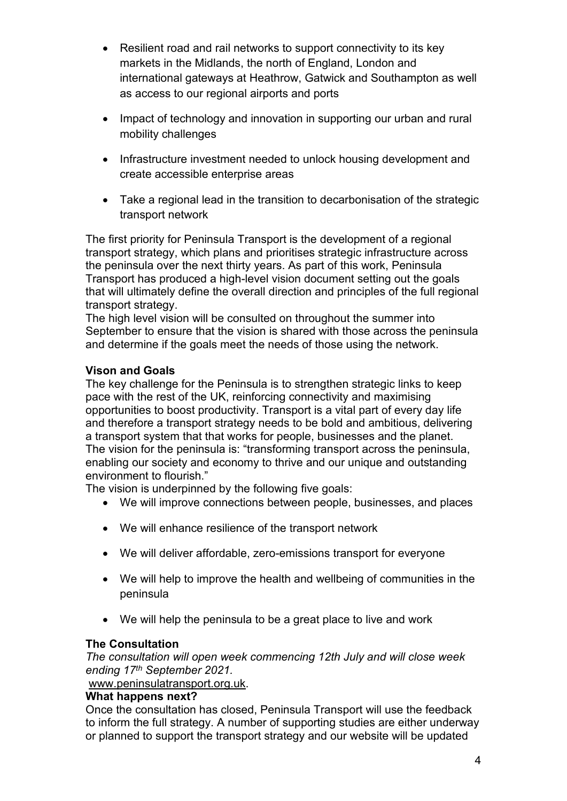- Resilient road and rail networks to support connectivity to its key markets in the Midlands, the north of England, London and international gateways at Heathrow, Gatwick and Southampton as well as access to our regional airports and ports
- Impact of technology and innovation in supporting our urban and rural mobility challenges
- Infrastructure investment needed to unlock housing development and create accessible enterprise areas
- Take a regional lead in the transition to decarbonisation of the strategic transport network

The first priority for Peninsula Transport is the development of a regional transport strategy, which plans and prioritises strategic infrastructure across the peninsula over the next thirty years. As part of this work, Peninsula Transport has produced a high-level vision document setting out the goals that will ultimately define the overall direction and principles of the full regional transport strategy.

The high level vision will be consulted on throughout the summer into September to ensure that the vision is shared with those across the peninsula and determine if the goals meet the needs of those using the network.

# **Vison and Goals**

The key challenge for the Peninsula is to strengthen strategic links to keep pace with the rest of the UK, reinforcing connectivity and maximising opportunities to boost productivity. Transport is a vital part of every day life and therefore a transport strategy needs to be bold and ambitious, delivering a transport system that that works for people, businesses and the planet. The vision for the peninsula is: "transforming transport across the peninsula, enabling our society and economy to thrive and our unique and outstanding environment to flourish."

The vision is underpinned by the following five goals:

- We will improve connections between people, businesses, and places
- We will enhance resilience of the transport network
- We will deliver affordable, zero-emissions transport for everyone
- We will help to improve the health and wellbeing of communities in the peninsula
- We will help the peninsula to be a great place to live and work

# **The Consultation**

*The consultation will open week commencing 12th July and will close week ending 17th September 2021.*

[www.peninsulatransport.org.uk.](http://www.peninsulatransport.org.uk/)

# **What happens next?**

Once the consultation has closed, Peninsula Transport will use the feedback to inform the full strategy. A number of supporting studies are either underway or planned to support the transport strategy and our website will be updated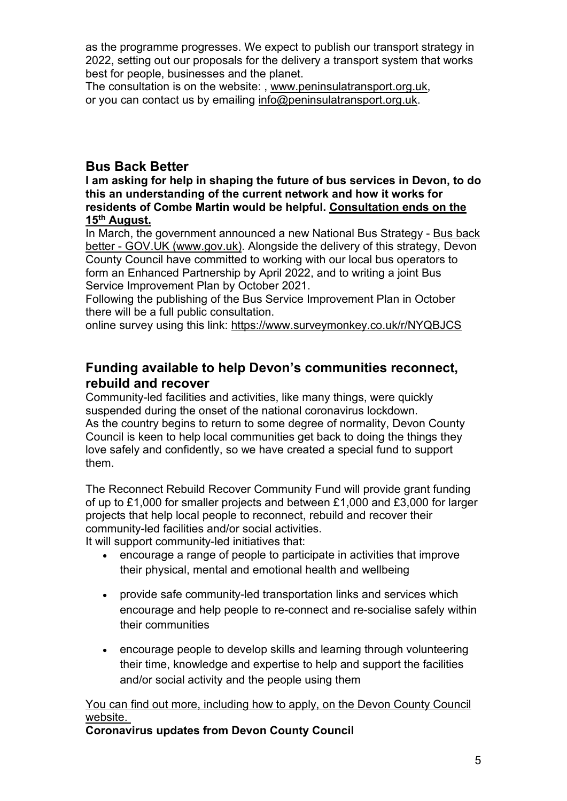as the programme progresses. We expect to publish our transport strategy in 2022, setting out our proposals for the delivery a transport system that works best for people, businesses and the planet.

The consultation is on the website: , [www.peninsulatransport.org.uk,](https://www.peninsulatransport.org.uk/) or you can contact us by emailing [info@peninsulatransport.org.uk.](mailto:info@peninsulatransport.org.uk)

# **Bus Back Better**

**I am asking for help in shaping the future of bus services in Devon, to do this an understanding of the current network and how it works for residents of Combe Martin would be helpful. Consultation ends on the 15th August.**

In March, the government announced a new National Bus Strategy - [Bus back](https://eur02.safelinks.protection.outlook.com/?url=https%3A%2F%2Fwww.gov.uk%2Fgovernment%2Fpublications%2Fbus-back-better&data=04%7C01%7Crachel.phillips%40devon.gov.uk%7C9f6f5001207640c1dc8108d93d5a7eaa%7C8da13783cb68443fbb4b997f77fd5bfb%7C0%7C0%7C637608281144971021%7CUnknown%7CTWFpbGZsb3d8eyJWIjoiMC4wLjAwMDAiLCJQIjoiV2luMzIiLCJBTiI6Ik1haWwiLCJXVCI6Mn0%3D%7C1000&sdata=h2qG4XLGA9IJBTxxByj5PVuCeHMMMy%2FC%2FFQUYVn74Lc%3D&reserved=0)  [better - GOV.UK \(www.gov.uk\).](https://eur02.safelinks.protection.outlook.com/?url=https%3A%2F%2Fwww.gov.uk%2Fgovernment%2Fpublications%2Fbus-back-better&data=04%7C01%7Crachel.phillips%40devon.gov.uk%7C9f6f5001207640c1dc8108d93d5a7eaa%7C8da13783cb68443fbb4b997f77fd5bfb%7C0%7C0%7C637608281144971021%7CUnknown%7CTWFpbGZsb3d8eyJWIjoiMC4wLjAwMDAiLCJQIjoiV2luMzIiLCJBTiI6Ik1haWwiLCJXVCI6Mn0%3D%7C1000&sdata=h2qG4XLGA9IJBTxxByj5PVuCeHMMMy%2FC%2FFQUYVn74Lc%3D&reserved=0) Alongside the delivery of this strategy, Devon County Council have committed to working with our local bus operators to form an Enhanced Partnership by April 2022, and to writing a joint Bus Service Improvement Plan by October 2021.

Following the publishing of the Bus Service Improvement Plan in October there will be a full public consultation.

online survey using this link:<https://www.surveymonkey.co.uk/r/NYQBJCS>

# **Funding available to help Devon's communities reconnect, rebuild and recover**

Community-led facilities and activities, like many things, were quickly suspended during the onset of the national coronavirus lockdown. As the country begins to return to some degree of normality, Devon County Council is keen to help local communities get back to doing the things they love safely and confidently, so we have created a special fund to support them.

The Reconnect Rebuild Recover Community Fund will provide grant funding of up to £1,000 for smaller projects and between £1,000 and £3,000 for larger projects that help local people to reconnect, rebuild and recover their community-led facilities and/or social activities.

It will support community-led initiatives that:

- encourage a range of people to participate in activities that improve their physical, mental and emotional health and wellbeing
- provide safe community-led transportation links and services which encourage and help people to re-connect and re-socialise safely within their communities
- encourage people to develop skills and learning through volunteering their time, knowledge and expertise to help and support the facilities and/or social activity and the people using them

# [You can find out more, including how to apply, on the Devon County Council](https://www.devon.gov.uk/coronavirus-advice-in-devon/document/reconnect-rebuild-recover-fund/)  [website.](https://www.devon.gov.uk/coronavirus-advice-in-devon/document/reconnect-rebuild-recover-fund/)

**Coronavirus updates from Devon County Council**